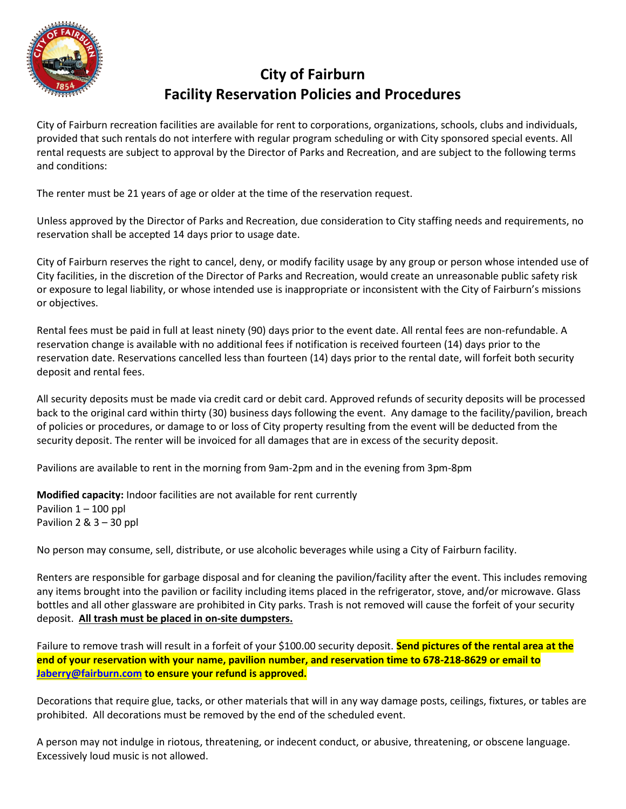

## **City of Fairburn Facility Reservation Policies and Procedures**

City of Fairburn recreation facilities are available for rent to corporations, organizations, schools, clubs and individuals, provided that such rentals do not interfere with regular program scheduling or with City sponsored special events. All rental requests are subject to approval by the Director of Parks and Recreation, and are subject to the following terms and conditions:

The renter must be 21 years of age or older at the time of the reservation request.

Unless approved by the Director of Parks and Recreation, due consideration to City staffing needs and requirements, no reservation shall be accepted 14 days prior to usage date.

City of Fairburn reserves the right to cancel, deny, or modify facility usage by any group or person whose intended use of City facilities, in the discretion of the Director of Parks and Recreation, would create an unreasonable public safety risk or exposure to legal liability, or whose intended use is inappropriate or inconsistent with the City of Fairburn's missions or objectives.

Rental fees must be paid in full at least ninety (90) days prior to the event date. All rental fees are non-refundable. A reservation change is available with no additional fees if notification is received fourteen (14) days prior to the reservation date. Reservations cancelled less than fourteen (14) days prior to the rental date, will forfeit both security deposit and rental fees.

All security deposits must be made via credit card or debit card. Approved refunds of security deposits will be processed back to the original card within thirty (30) business days following the event. Any damage to the facility/pavilion, breach of policies or procedures, or damage to or loss of City property resulting from the event will be deducted from the security deposit. The renter will be invoiced for all damages that are in excess of the security deposit.

Pavilions are available to rent in the morning from 9am-2pm and in the evening from 3pm-8pm

**Modified capacity:** Indoor facilities are not available for rent currently Pavilion  $1 - 100$  ppl Pavilion 2 & 3 – 30 ppl

No person may consume, sell, distribute, or use alcoholic beverages while using a City of Fairburn facility.

Renters are responsible for garbage disposal and for cleaning the pavilion/facility after the event. This includes removing any items brought into the pavilion or facility including items placed in the refrigerator, stove, and/or microwave. Glass bottles and all other glassware are prohibited in City parks. Trash is not removed will cause the forfeit of your security deposit. **All trash must be placed in on-site dumpsters.** 

Failure to remove trash will result in a forfeit of your \$100.00 security deposit. **Send pictures of the rental area at the end of your reservation with your name, pavilion number, and reservation time to 678-218-8629 or email to [Jaberry@fairburn.com](mailto:Jaberry@fairburn.com) to ensure your refund is approved.**

Decorations that require glue, tacks, or other materials that will in any way damage posts, ceilings, fixtures, or tables are prohibited. All decorations must be removed by the end of the scheduled event.

A person may not indulge in riotous, threatening, or indecent conduct, or abusive, threatening, or obscene language. Excessively loud music is not allowed.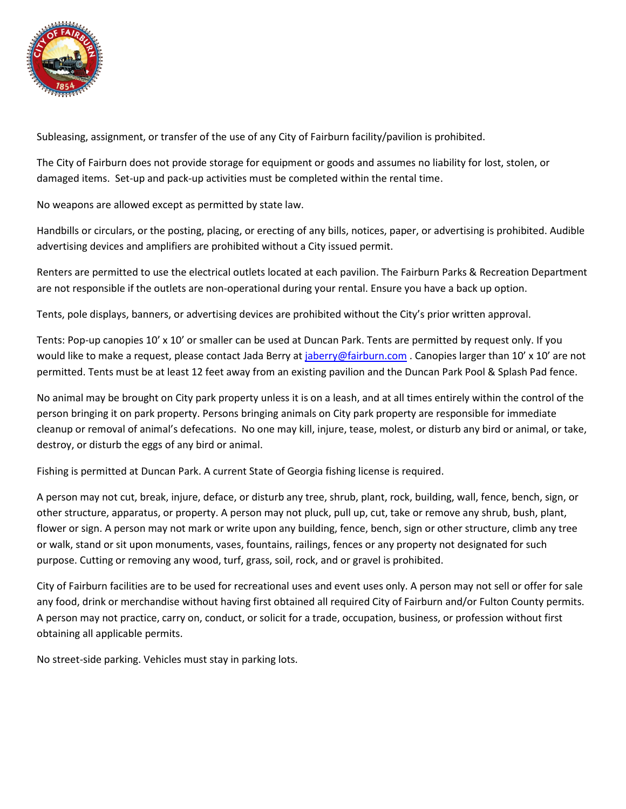

Subleasing, assignment, or transfer of the use of any City of Fairburn facility/pavilion is prohibited.

The City of Fairburn does not provide storage for equipment or goods and assumes no liability for lost, stolen, or damaged items. Set-up and pack-up activities must be completed within the rental time.

No weapons are allowed except as permitted by state law.

Handbills or circulars, or the posting, placing, or erecting of any bills, notices, paper, or advertising is prohibited. Audible advertising devices and amplifiers are prohibited without a City issued permit.

Renters are permitted to use the electrical outlets located at each pavilion. The Fairburn Parks & Recreation Department are not responsible if the outlets are non-operational during your rental. Ensure you have a back up option.

Tents, pole displays, banners, or advertising devices are prohibited without the City's prior written approval.

Tents: Pop-up canopies 10' x 10' or smaller can be used at Duncan Park. Tents are permitted by request only. If you would like to make a request, please contact Jada Berry at [jaberry@fairburn.com](mailto:jaberry@fairburn.com) . Canopies larger than 10' x 10' are not permitted. Tents must be at least 12 feet away from an existing pavilion and the Duncan Park Pool & Splash Pad fence.

No animal may be brought on City park property unless it is on a leash, and at all times entirely within the control of the person bringing it on park property. Persons bringing animals on City park property are responsible for immediate cleanup or removal of animal's defecations. No one may kill, injure, tease, molest, or disturb any bird or animal, or take, destroy, or disturb the eggs of any bird or animal.

Fishing is permitted at Duncan Park. A current State of Georgia fishing license is required.

A person may not cut, break, injure, deface, or disturb any tree, shrub, plant, rock, building, wall, fence, bench, sign, or other structure, apparatus, or property. A person may not pluck, pull up, cut, take or remove any shrub, bush, plant, flower or sign. A person may not mark or write upon any building, fence, bench, sign or other structure, climb any tree or walk, stand or sit upon monuments, vases, fountains, railings, fences or any property not designated for such purpose. Cutting or removing any wood, turf, grass, soil, rock, and or gravel is prohibited.

City of Fairburn facilities are to be used for recreational uses and event uses only. A person may not sell or offer for sale any food, drink or merchandise without having first obtained all required City of Fairburn and/or Fulton County permits. A person may not practice, carry on, conduct, or solicit for a trade, occupation, business, or profession without first obtaining all applicable permits.

No street-side parking. Vehicles must stay in parking lots.